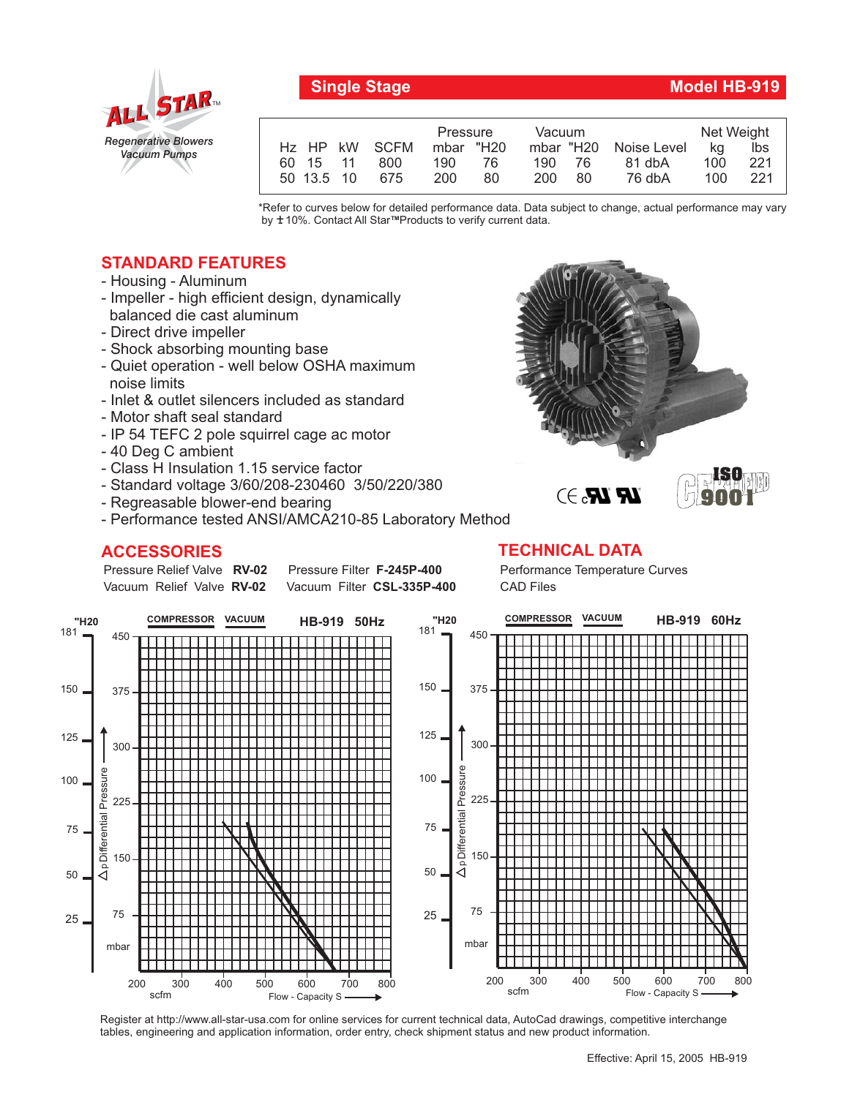

## **Single Stage Model HB-919**

|                   | Pressure   | Vacuum     | Net Weight  |     |     |
|-------------------|------------|------------|-------------|-----|-----|
| Hz HP kW SCFM     | mbar "H20  | mbar "H20  | Noise Level | ka  | lbs |
| 60 15 11<br>800   | 76.<br>190 | 190<br>-76 | 81 dbA      | 100 | 221 |
| 50 13.5 10<br>675 | 200<br>80  | 200<br>80  | 76 dbA      | 100 | 221 |

\*Refer to curves below for detailed performance data. Data subject to change, actual performance may vary by ±10%. Contact All Star<sup>™</sup>Products to verify current data.

## **STANDARD FEATURES**

- Housing Aluminum
- Impeller high efficient design, dynamically balanced die cast aluminum
- Direct drive impeller
- Shock absorbing mounting base
- Quiet operation well below OSHA maximum noise limits
- Inlet & outlet silencers included as standard
- Motor shaft seal standard
- IP 54 TEFC 2 pole squirrel cage ac motor
- 40 Deg C ambient
- Class H Insulation 1.15 service factor
- Standard voltage 3/60/208-230460 3/50/220/380
- Regreasable blower-end bearing



**Pressure Filter F-245P-400** Vacuum Filter CSL-335P-400

## **ACCESSORIES TECHNICAL DATA**

Pressure Relief Valve RV-02 Vacuum Relief Valve RV-02

Performance Temperature Curves CAD Files



Register at http://www.all-star-usa.com for online services for current technical data, AutoCad drawings, competitive interchange tables, engineering and application information, order entry, check shipment status and new product information.